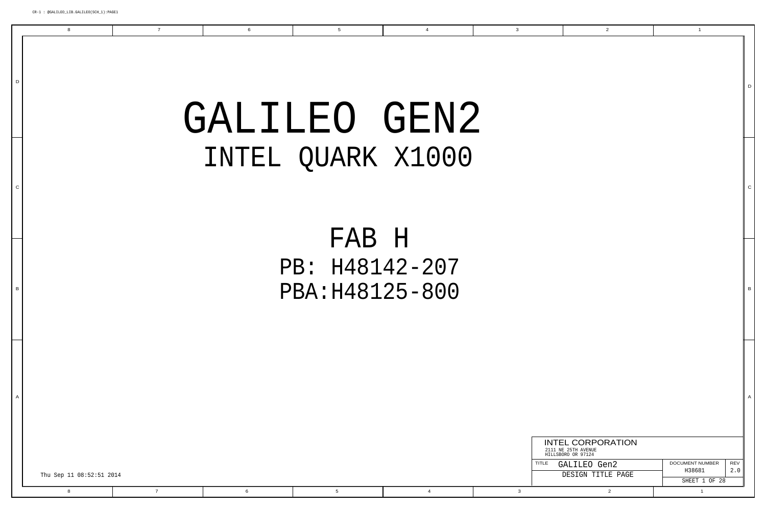

|  |  |                   | <b>INTEL CORPORATION</b><br>2111 NE 25TH AVENUE<br>HILLSBORO OR 97124 |                         |            |
|--|--|-------------------|-----------------------------------------------------------------------|-------------------------|------------|
|  |  | TITLE             | GALILEO Gen2                                                          | DOCUMENT NUMBER         | <b>REV</b> |
|  |  | DESIGN TITLE PAGE |                                                                       | H38681<br>SHEET 1 OF 28 | 2.0        |
|  |  |                   |                                                                       |                         |            |

D

8

7 6

A

C

B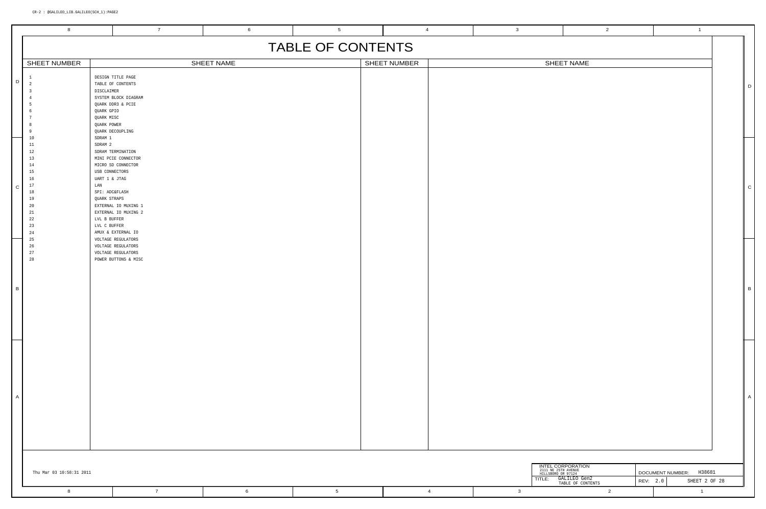|   | 8                                                                                          |                                                                                                                                        | $\overline{7}$                                                                                                                       |            | 6               | $5\overline{5}$   | $\overline{4}$ | $\overline{3}$                   |                                                     | $\overline{2}$                           | $\overline{1}$                      |               |                |
|---|--------------------------------------------------------------------------------------------|----------------------------------------------------------------------------------------------------------------------------------------|--------------------------------------------------------------------------------------------------------------------------------------|------------|-----------------|-------------------|----------------|----------------------------------|-----------------------------------------------------|------------------------------------------|-------------------------------------|---------------|----------------|
|   |                                                                                            |                                                                                                                                        |                                                                                                                                      |            |                 | TABLE OF CONTENTS |                |                                  |                                                     |                                          |                                     |               |                |
|   | SHEET NUMBER                                                                               |                                                                                                                                        |                                                                                                                                      | SHEET NAME |                 |                   | SHEET NUMBER   |                                  |                                                     | SHEET NAME                               |                                     |               |                |
| D |                                                                                            | DISCLAIMER<br>QUARK GPIO<br>QUARK MISC<br>QUARK POWER                                                                                  | DESIGN TITLE PAGE<br>TABLE OF CONTENTS<br>SYSTEM BLOCK DIAGRAM<br>QUARK DDR3 & PCIE<br>QUARK DECOUPLING                              |            |                 |                   |                |                                  |                                                     |                                          |                                     |               | D              |
|   | $10\,$<br>11<br>12<br>13<br>14<br>15<br>16<br>17<br>18<br>19<br>20<br>21<br>22<br>23<br>24 | SDRAM 1<br>SDRAM 2<br>USB CONNECTORS<br>UART 1 & JTAG<br>${\rm LAN}$<br>SPI: ADC&FLASH<br>QUARK STRAPS<br>LVL B BUFFER<br>LVL C BUFFER | SDRAM TERMINATION<br>MINI PCIE CONNECTOR<br>MICRO SD CONNECTOR<br>EXTERNAL IO MUXING 1<br>EXTERNAL IO MUXING 2<br>AMUX & EXTERNAL IO |            |                 |                   |                |                                  |                                                     |                                          |                                     |               | $\mathsf{C}$   |
| В | 25<br>26<br>27<br>28                                                                       |                                                                                                                                        | VOLTAGE REGULATORS<br>VOLTAGE REGULATORS<br>VOLTAGE REGULATORS<br>POWER BUTTONS & MISC                                               |            |                 |                   |                |                                  |                                                     |                                          |                                     |               | $\overline{B}$ |
| P |                                                                                            |                                                                                                                                        |                                                                                                                                      |            |                 |                   |                |                                  |                                                     |                                          |                                     |               | $\overline{A}$ |
|   | Thu Mar 03 10:58:31 2011                                                                   |                                                                                                                                        |                                                                                                                                      |            |                 |                   |                |                                  | 2111 NE 25TH AVENUE<br>HILLSBORO OR 97124<br>TITLE: | <b>INTEL CORPORATION</b><br>GALILEO Gen2 | DOCUMENT NUMBER: H38681<br>REV: 2.0 | SHEET 2 OF 28 |                |
|   | 8                                                                                          |                                                                                                                                        | $7\overline{ }$                                                                                                                      |            | $6\overline{6}$ | 5 <sub>5</sub>    |                | $\overline{4}$<br>3 <sup>3</sup> |                                                     | TABLE OF CONTENTS<br>$\overline{2}$      | $\overline{1}$                      |               |                |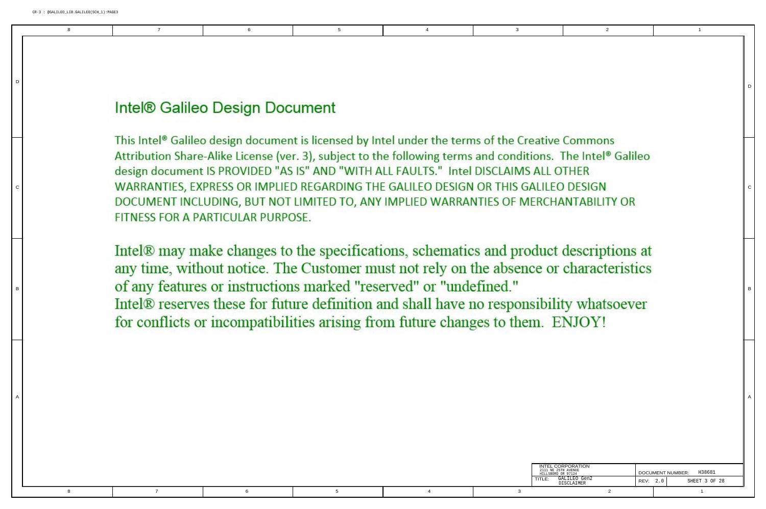8

 $\mathbf{a}$ 

| INTEL CORPORATION<br>2111 NE 25TH AVENUE<br>HILLSBORO OR 97124 |          | H38681<br><b>DOCUMENT NUMBER:</b> |
|----------------------------------------------------------------|----------|-----------------------------------|
| GALILEO Gen2<br>TI F <sup>.</sup><br><b>DISCLAIMER</b>         | REV: 2.0 | SHEET 3 OF 28                     |
|                                                                |          |                                   |

D

D

A

B

## Intel® Galileo Design Document

7 6

This Intel<sup>®</sup> Galileo design document is licensed by Intel under the terms of the Creative Commons Attribution Share-Alike License (ver. 3), subject to the following terms and conditions. The Intel® Galileo design document IS PROVIDED "AS IS" AND "WITH ALL FAULTS." Intel DISCLAIMS ALL OTHER WARRANTIES, EXPRESS OR IMPLIED REGARDING THE GALILEO DESIGN OR THIS GALILEO DESIGN DOCUMENT INCLUDING, BUT NOT LIMITED TO, ANY IMPLIED WARRANTIES OF MERCHANTABILITY OR FITNESS FOR A PARTICULAR PURPOSE.

Intel<sup>®</sup> may make changes to the specifications, schematics and product descriptions at any time, without notice. The Customer must not rely on the absence or characteristics of any features or instructions marked "reserved" or "undefined." Intel® reserves these for future definition and shall have no responsibility whatsoever for conflicts or incompatibilities arising from future changes to them. ENJOY!

A

5 4

C

B

C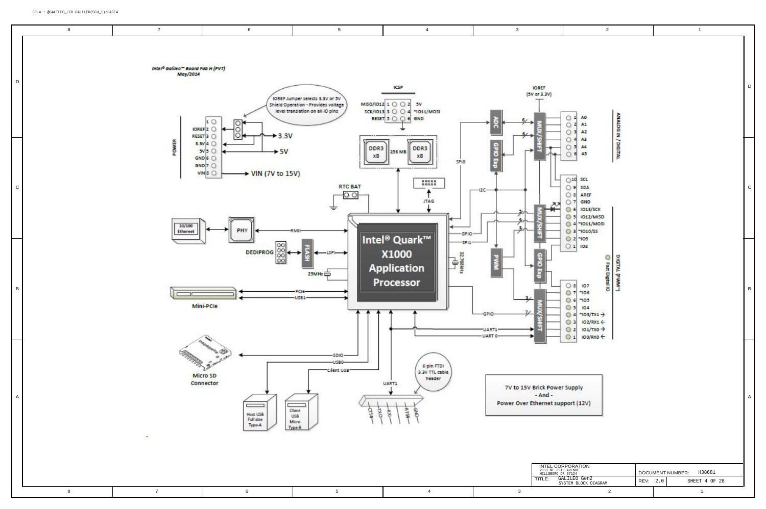|                                                                        |                                                                                                                                    |                                                                                                                                                   | $\boldsymbol{2}$                   |      |     | $\mathbf 1$                                      |              |
|------------------------------------------------------------------------|------------------------------------------------------------------------------------------------------------------------------------|---------------------------------------------------------------------------------------------------------------------------------------------------|------------------------------------|------|-----|--------------------------------------------------|--------------|
| ŒF<br>3.3V)<br><b>TRIAL RE</b>                                         | Ö<br>$\mathbf{1}$<br>Ö<br>$\overline{z}$<br>O3                                                                                     | AO<br>A1<br>A2                                                                                                                                    | ANALDG IN / DIGITAL                |      |     |                                                  | D            |
| ī<br><b>ARTIST</b>                                                     | $\circ$<br>4<br>$\circ$<br>킈<br>Ó<br>€<br>O <sub>10</sub><br>$\vert$<br>$\vert$<br>O<br>$\overline{z}$<br>$\mathfrak{s}$<br>키<br>c | A3<br>A4<br>A5<br><b>SCL</b><br>SDA<br>AREF<br>GND<br>1013/SCK<br>1012/MISO<br>4 "IO11/MOSI<br>3 ~1010/SS<br>$2 - 109$                            |                                    |      |     |                                                  | $\mathsf{C}$ |
| coro eva<br><u>igen</u><br>ť                                           | $\circ$ 1<br>8<br>7<br>$\epsilon$<br>5I<br>3<br>$\mathbf{z}$<br>1                                                                  | 108<br>IO7<br>$^{\sim}106$<br>"10"3"<br>104<br>$4 \rightarrow 103/TX1 \rightarrow$<br>102/RX1 +<br>$101/TX0 \rightarrow$<br>$\rightarrow$ 0x8/000 | DIGITAL (PWW)<br>G Fast Digital IO |      |     |                                                  | $\sf B$      |
| ck Power Supply<br>And -<br>ernet support (12V)                        |                                                                                                                                    |                                                                                                                                                   |                                    |      |     |                                                  | Α            |
| INTEL CORPORATION<br>2111 NE 25TH AVENUE<br>HILLSBORO OR 97124<br>TLE: |                                                                                                                                    | GALILEO Gen2<br>SYSTEM BLOCK DIAGRAM                                                                                                              | 2                                  | REV: | 2.0 | H38681<br>DOCUMENT NUMBER:<br>SHEET 4 OF 28<br>1 |              |

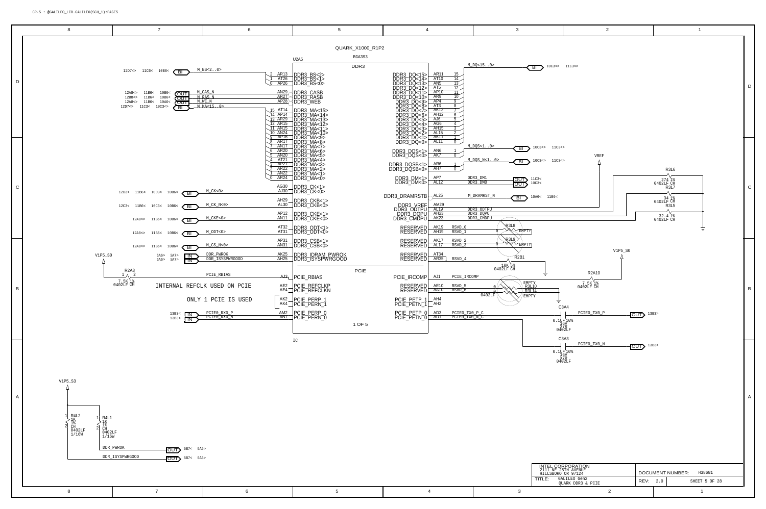<span id="page-4-7"></span><span id="page-4-6"></span><span id="page-4-5"></span><span id="page-4-4"></span><span id="page-4-3"></span><span id="page-4-2"></span><span id="page-4-1"></span><span id="page-4-0"></span>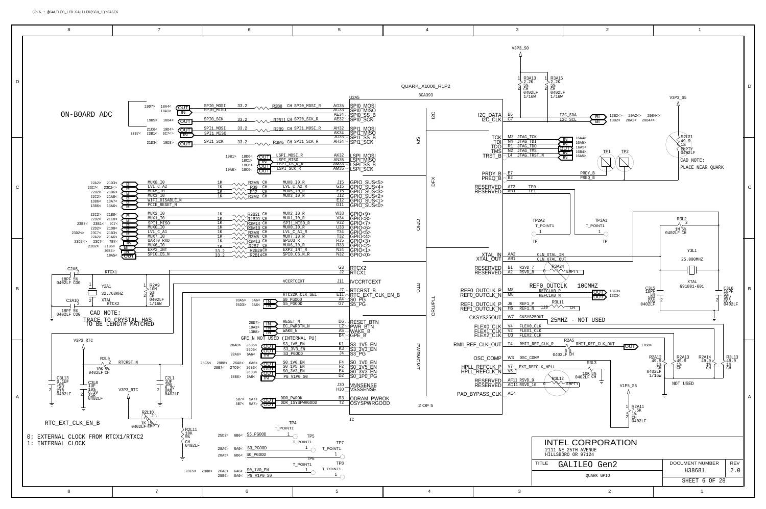<span id="page-5-9"></span><span id="page-5-3"></span><span id="page-5-1"></span>

<span id="page-5-8"></span><span id="page-5-7"></span><span id="page-5-6"></span><span id="page-5-5"></span><span id="page-5-4"></span><span id="page-5-2"></span><span id="page-5-0"></span>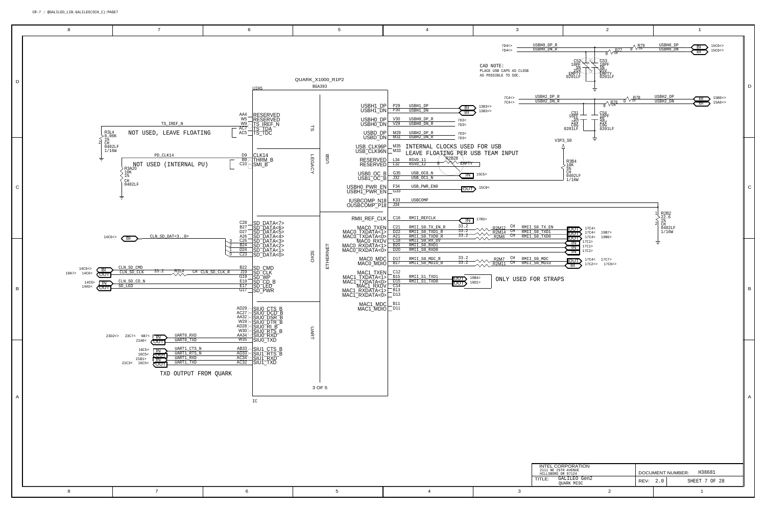<span id="page-6-10"></span><span id="page-6-9"></span><span id="page-6-6"></span><span id="page-6-5"></span><span id="page-6-3"></span><span id="page-6-2"></span><span id="page-6-1"></span>

<span id="page-6-4"></span><span id="page-6-0"></span>

<span id="page-6-8"></span><span id="page-6-7"></span>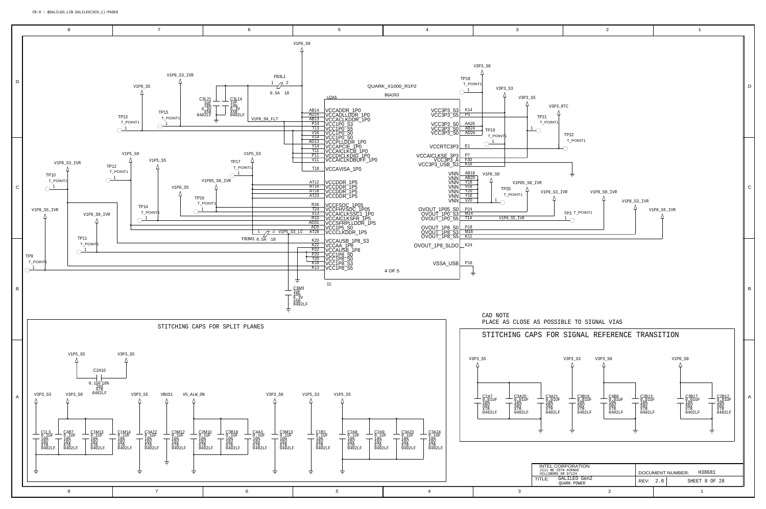CR-8 : @GALILEO\_LIB.GALILEO(SCH\_1):PAGE8

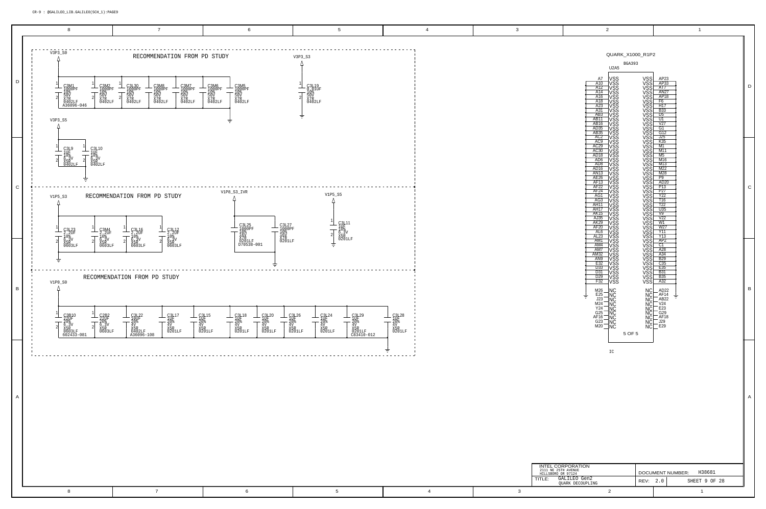IC

|                               | <b>BGA393</b> |
|-------------------------------|---------------|
| U <sub>2</sub> A <sub>5</sub> |               |

| A7                                   |                                  |        |                                                                                                                                                                                                                                      | AP23                               |
|--------------------------------------|----------------------------------|--------|--------------------------------------------------------------------------------------------------------------------------------------------------------------------------------------------------------------------------------------|------------------------------------|
| A10                                  |                                  |        |                                                                                                                                                                                                                                      | AP33                               |
| A12                                  |                                  |        |                                                                                                                                                                                                                                      | ĀT7                                |
| A14                                  |                                  |        |                                                                                                                                                                                                                                      | <b>AN27</b>                        |
| A16                                  |                                  |        |                                                                                                                                                                                                                                      | AP18                               |
| A18<br>A23                           |                                  |        |                                                                                                                                                                                                                                      | F <sub>6</sub>                     |
|                                      |                                  |        |                                                                                                                                                                                                                                      | H <sub>17</sub>                    |
| $\overline{A31}$                     |                                  |        |                                                                                                                                                                                                                                      | <b>B</b> 33                        |
| AB <sub>3</sub>                      |                                  |        |                                                                                                                                                                                                                                      | D <sub>5</sub>                     |
|                                      |                                  |        |                                                                                                                                                                                                                                      | U1                                 |
| AB11<br>AB16                         |                                  |        |                                                                                                                                                                                                                                      | $\overline{\overline{v}}$ 27       |
|                                      |                                  |        |                                                                                                                                                                                                                                      |                                    |
| AD <sub>35</sub>                     |                                  |        |                                                                                                                                                                                                                                      | G1                                 |
| AB35                                 |                                  |        |                                                                                                                                                                                                                                      | G12                                |
| AC2<br>AC9                           |                                  |        |                                                                                                                                                                                                                                      | $\frac{125}{K35}$                  |
|                                      |                                  |        |                                                                                                                                                                                                                                      |                                    |
| AC29<br>AC30<br>AD18                 |                                  |        |                                                                                                                                                                                                                                      | M1                                 |
|                                      |                                  |        |                                                                                                                                                                                                                                      | M11                                |
|                                      |                                  |        |                                                                                                                                                                                                                                      | $\overline{\mathsf{M}5}$           |
|                                      |                                  |        |                                                                                                                                                                                                                                      |                                    |
| AD <sub>6</sub>                      |                                  |        |                                                                                                                                                                                                                                      | M16                                |
| AD <sub>8</sub>                      |                                  |        |                                                                                                                                                                                                                                      |                                    |
| AD <sub>16</sub>                     |                                  |        |                                                                                                                                                                                                                                      | M <sub>13</sub><br>M <sub>22</sub> |
| <b>AN13</b>                          |                                  |        |                                                                                                                                                                                                                                      | $\underline{\overline{M28}}$       |
| AE <sub>26</sub>                     |                                  |        |                                                                                                                                                                                                                                      | $\overline{P}9$                    |
| AF13                                 |                                  |        |                                                                                                                                                                                                                                      | AD <sub>20</sub>                   |
| AF <sub>22</sub>                     |                                  |        |                                                                                                                                                                                                                                      | <br>P13                            |
|                                      |                                  |        |                                                                                                                                                                                                                                      |                                    |
| AF <sub>24</sub><br>AF <sub>24</sub> |                                  |        |                                                                                                                                                                                                                                      | <u></u><br>P27<br>Y22              |
|                                      |                                  |        |                                                                                                                                                                                                                                      |                                    |
| AG <sub>3</sub>                      |                                  |        |                                                                                                                                                                                                                                      | T16                                |
| AH11                                 |                                  |        |                                                                                                                                                                                                                                      | T22<br>U35                         |
| AH17                                 |                                  |        |                                                                                                                                                                                                                                      |                                    |
| <b>AK15</b>                          |                                  |        |                                                                                                                                                                                                                                      | $\overline{\vee}$ 9                |
| AJ35                                 |                                  |        |                                                                                                                                                                                                                                      | <br>V22                            |
|                                      |                                  |        |                                                                                                                                                                                                                                      | $\overline{W}$ 1                   |
| <b>AK29</b><br>AF20                  |                                  |        |                                                                                                                                                                                                                                      | W27                                |
|                                      |                                  |        |                                                                                                                                                                                                                                      |                                    |
| AL6                                  |                                  |        |                                                                                                                                                                                                                                      | Y11                                |
| $\overline{AL23}$                    |                                  |        |                                                                                                                                                                                                                                      | $\overline{Y13}$                   |
| AM1                                  |                                  |        |                                                                                                                                                                                                                                      | AP <sub>2</sub>                    |
| AM4                                  |                                  |        |                                                                                                                                                                                                                                      | $\overline{C}$ 1                   |
| AM7                                  |                                  |        |                                                                                                                                                                                                                                      | A28                                |
| AM32                                 |                                  |        |                                                                                                                                                                                                                                      | A34                                |
| AN <sub>9</sub>                      |                                  |        |                                                                                                                                                                                                                                      | $\frac{125}{C35}$                  |
| E32                                  |                                  |        |                                                                                                                                                                                                                                      |                                    |
| D <sub>33</sub>                      |                                  |        |                                                                                                                                                                                                                                      | E35                                |
|                                      |                                  |        |                                                                                                                                                                                                                                      |                                    |
| D31                                  |                                  |        |                                                                                                                                                                                                                                      | <b>B31</b>                         |
| D <sub>29</sub>                      |                                  |        |                                                                                                                                                                                                                                      | B35<br>A32                         |
| $\frac{22}{532}$                     |                                  |        | NS CONSTRUCT COMMISSION CONSTRUCT COMMISSION CONSTRUCTOR CONSTRUCTOR CONSTRUCTOR CONSTRUCTOR CONSTRUCTOR CONST<br>CONSTRUCTOR CONSTRUCTOR CONSTRUCTOR CONSTRUCTOR CONSTRUCTOR CONSTRUCTOR CONSTRUCTOR CONSTRUCTOR CONSTRUCTOR CO<br> |                                    |
|                                      |                                  |        |                                                                                                                                                                                                                                      |                                    |
| M26                                  |                                  |        |                                                                                                                                                                                                                                      | AD22                               |
| E25                                  |                                  |        |                                                                                                                                                                                                                                      | AF14                               |
| J23                                  |                                  |        |                                                                                                                                                                                                                                      | AB22                               |
| M24                                  |                                  |        |                                                                                                                                                                                                                                      | V <sub>24</sub>                    |
| Y24                                  |                                  |        |                                                                                                                                                                                                                                      | E23                                |
|                                      |                                  |        |                                                                                                                                                                                                                                      |                                    |
| G25                                  | NC<br>NC<br>NC<br>NC<br>NC<br>NC |        |                                                                                                                                                                                                                                      | G29                                |
| AF16                                 | ΝÇ                               |        |                                                                                                                                                                                                                                      | AF18                               |
|                                      |                                  |        |                                                                                                                                                                                                                                      | J29                                |
| G23<br>M20                           | NČ<br>NČ                         |        | NC<br>NOCOCO<br>NOCOCOCO<br>NOCOCOCO                                                                                                                                                                                                 | E29                                |
|                                      |                                  |        |                                                                                                                                                                                                                                      |                                    |
|                                      |                                  | 5 OF 5 |                                                                                                                                                                                                                                      |                                    |
|                                      |                                  |        |                                                                                                                                                                                                                                      |                                    |

| INTEL CORPORATION<br>2111 NE 25TH AVENUE<br>HILLSBORO OR 97124 |          | H38681<br>DOCUMENT NUMBER: |
|----------------------------------------------------------------|----------|----------------------------|
| GALILEO Gen2<br>TI F <sup>.</sup><br>OUARK DECOUPLING          | REV: 2.0 | SHEET 9 OF 28              |
|                                                                |          |                            |

D

A

C



B

QUARK\_X1000\_R1P2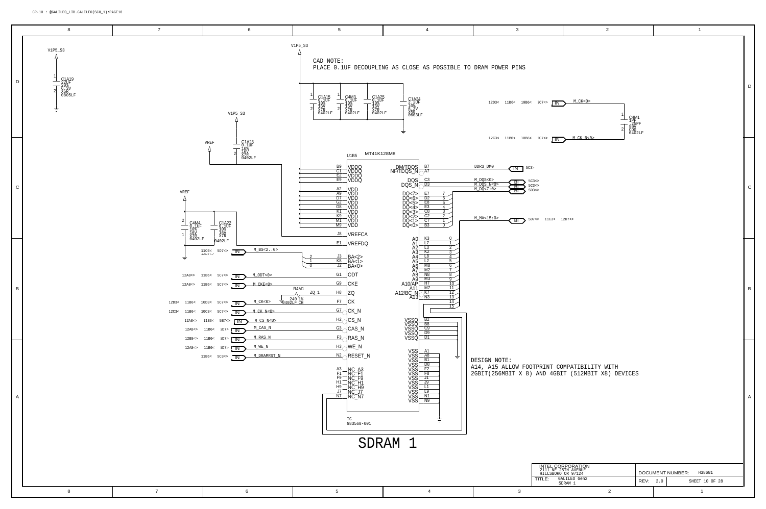<span id="page-9-3"></span><span id="page-9-1"></span>

| $C7 \leq 10$<br>$\mathbf{1}$<br>$\begin{array}{l} \text{C4M1} \\ \text{1PF} \\ \text{25PF} \\ \text{50V} \\ \text{COG} \\ \text{0402LF} \end{array}$<br>$\overline{2}$<br>$M$ <sub><math>CK</math></sub> $N<0$<br>C7 < ><br>$\overline{\Box N}$<br>$\mathsf{C}$<br>11C3 < 12D7 < ><br>B<br>RINT COMPATIBILITY WITH<br>ND 4GBIT (512MBIT X8) DEVICES<br>Α<br>INTEL CORPORATION<br>2111 NE 25TH AVENUE<br>HILLSBORO OR 97124<br>DOCUMENT NUMBER: H38681<br>TLE:<br>GALILEO Gen2<br>REV:<br>SHEET 10 OF 28<br>2.0<br>SDRAM 1<br>$\overline{2}$<br>$\mathbf{1}$ | $M_C$ CK<0> |  | D |
|-------------------------------------------------------------------------------------------------------------------------------------------------------------------------------------------------------------------------------------------------------------------------------------------------------------------------------------------------------------------------------------------------------------------------------------------------------------------------------------------------------------------------------------------------------------|-------------|--|---|
|                                                                                                                                                                                                                                                                                                                                                                                                                                                                                                                                                             |             |  |   |
|                                                                                                                                                                                                                                                                                                                                                                                                                                                                                                                                                             |             |  |   |
|                                                                                                                                                                                                                                                                                                                                                                                                                                                                                                                                                             |             |  |   |
|                                                                                                                                                                                                                                                                                                                                                                                                                                                                                                                                                             |             |  |   |
|                                                                                                                                                                                                                                                                                                                                                                                                                                                                                                                                                             |             |  |   |
|                                                                                                                                                                                                                                                                                                                                                                                                                                                                                                                                                             |             |  |   |

|--|--|--|

<span id="page-9-2"></span><span id="page-9-0"></span>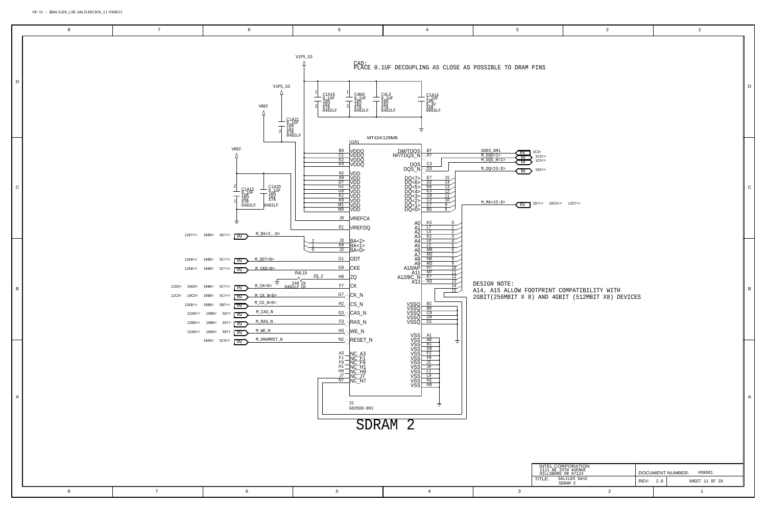## CR-11 : @GALILEO\_LIB.GALILEO(SCH\_1):PAGE11

<span id="page-10-0"></span>

|              | 8 | $\overline{7}$ | 6                                                                                                                                                                                                                                                                                                                                                                                                                                                  | $5\overline{)}$                                                                                                                                                                                                                                                                                                | $\overline{4}$                                                                                                                                                                                                                                                                                                                                                                                                                                                                                                                                              | $\mathbf{3}$                                                                                                                                                                                                                                                                                                                                                                                                                                                                                                                                                                         | $\overline{2}$                                                                                        | $\overline{1}$                            |   |
|--------------|---|----------------|----------------------------------------------------------------------------------------------------------------------------------------------------------------------------------------------------------------------------------------------------------------------------------------------------------------------------------------------------------------------------------------------------------------------------------------------------|----------------------------------------------------------------------------------------------------------------------------------------------------------------------------------------------------------------------------------------------------------------------------------------------------------------|-------------------------------------------------------------------------------------------------------------------------------------------------------------------------------------------------------------------------------------------------------------------------------------------------------------------------------------------------------------------------------------------------------------------------------------------------------------------------------------------------------------------------------------------------------------|--------------------------------------------------------------------------------------------------------------------------------------------------------------------------------------------------------------------------------------------------------------------------------------------------------------------------------------------------------------------------------------------------------------------------------------------------------------------------------------------------------------------------------------------------------------------------------------|-------------------------------------------------------------------------------------------------------|-------------------------------------------|---|
| D            |   |                | V1P5_S3<br>VREF<br>Λ<br>$\begin{array}{r} \begin{array}{c} \begin{matrix} 0 \\ 0.1 \end{matrix} \\ \begin{matrix} 0 \\ 1 \end{matrix} \\ \begin{matrix} 0 \\ 1 \end{matrix} \\ \begin{matrix} 0 \\ 1 \end{matrix} \\ \begin{matrix} 0 \\ 0 \\ 1 \end{matrix} \\ \begin{matrix} 0 \\ 0 \\ 4 \end{matrix} \end{array} \end{array}$                                                                                                                   | $V1P5_S3$<br>- <b>C4M2</b><br>- 10%<br>- 10%<br>16V<br>X7R<br>0402LF<br>$\frac{C1A16}{9.1UE}$<br>$\overline{\phantom{a}}$<br>$\top$<br>┯<br>$_{0402LF}^{\text{X/R}}$<br>MT41K128M8                                                                                                                             | CAD:<br>PLACE 0.1UF DECOUPLING AS CLOSE AS POSSIBLE TO DRAM PINS<br>$\begin{array}{r} - \rm \, C1A14\ -\ 2\, \, 2 \, UF\ -\ 1\, 0\ \, 8\, \, V\ 5\, R\ \, X5R\ 0\, 6\, 0\, 3\, LF \end{array}$<br>$C4L3$<br>$0.1UF$<br>16ỷ<br>X7R<br>0402LF                                                                                                                                                                                                                                                                                                                 |                                                                                                                                                                                                                                                                                                                                                                                                                                                                                                                                                                                      |                                                                                                       |                                           |   |
| $\circ$      |   |                | VREF<br>- <b>C1A20</b><br>- 0,1UF<br>- 10%<br>- 16V<br>X7R<br>$C1A13$<br>$0.10F$<br>$10$ <sup>8</sup><br>$\top$<br>16V<br>X7R<br>0402LF<br>0402LF<br>$M_BSS < 2.0$<br>$12D7 \le 10B6 \le 5D7 \le \blacksquare N$                                                                                                                                                                                                                                   | <b>U1A1</b><br>B <sub>9</sub><br>C1 VDDQ<br><u>E2</u> VDDQ<br>E9 VDDQ<br>A2 VDD<br>A9 VDD<br>D7 VDD<br>G2 VDD<br>G8 VDD<br>K1 VDD<br>K4 VDD<br>M4 VDD<br>$\frac{100}{M9}$ VDD<br>J8 VREFCA<br>E1 VREFDQ                                                                                                        | DM/TDQS B7<br>NF/TDQS_N <sub>O</sub> A7<br>$DQS \frac{CS}{C^3}$<br>00<br>DOC6> <u>D2</u><br>DOC6> E8<br>DOC6> E8<br>DOC3> C8<br>DOC2> C7<br>DOC1> C7<br>DOC1> B3<br>10<br>$\frac{K3}{L7}$                                                                                                                                                                                                                                                                                                                                                                   | $\frac{\texttt{DDR3\_DM1}}{\texttt{M\_DQS} < 1>}$<br>$5C3>$ , $5C3>>$<br>$\begin{tabular}{ c c } \hline & \multicolumn{1}{ }{\textbf{IN}} & \multicolumn{1}{ }{\textbf{5C3>}}\\ \hline \multicolumn{1}{ }{\textbf{BI}} & \multicolumn{1}{ }{\textbf{5C3*>}}\\ \hline \multicolumn{1}{ }{\textbf{BI}} & \multicolumn{1}{ }{\textbf{5C3*>}}\\ \hline \multicolumn{1}{ }{\textbf{BI}} & \multicolumn{1}{ }{\textbf{5C3*>}}\\ \hline \end{tabular}$<br>$M_DQS_N<1>$<br>$M_DQ < 15:8>$<br>$\left(\overline{\mathsf{B}}\right)$ 5D3<><br>$M_MA < 15:0>$<br>$\sqrt{IN}$ 5D7<> 10C3<> 12D7<> |                                                                                                       |                                           | C |
| $\vert$ B    |   |                | 12A8<> 10B6< 5C7<> $\overline{IN}$ M ODT<0><br>$12A8 \rightarrow 10B6 \leftarrow 5C7 \rightarrow \blacksquare$ M_CKE<0><br>专<br>12D3< 10D3< 10B6< 5C7<> $\overline{IN}$ M_CK<0><br>12C3< 10C3< 10B6< 5C7<> $\overline{IN}$ M_CK_N<02<br>12A8<> 10B6< 5B7<> $\overline{\text{IN}}$ M_CS_N<0><br>12A8<> 10B6< 5D7> $\overline{IN}$ M_CAS_N<br>$12B8 \leftarrow 10B6 \leftarrow 5D7 > \boxed{IN}$ M_RAS_N<br>12A8<> 10A6< 5D7> $\overline{IN}$ M_WE_N | $\begin{array}{c c}\nJ3 & BA < 2 > \\ \hline\nKB & BA < 1 > \\ J2 & BA < 0>\n\end{array}$<br>$\frac{G1}{2}$ ODT<br>$G9$ CKE<br>R4L19<br>$ZQ_2$<br>$H8$ ZQ<br>240 1%<br>0402LF CH<br>$F7$ CK<br>$G7$ CK_N<br>$H2$ CS_N<br>$\frac{G3}{G}$ CAS_N<br>$F_3$ <sub>C</sub> RAS_N<br>$\frac{\text{H3}}{\text{M}}$ WE_N | $\begin{array}{r} \text{A1} \quad \begin{array}{r} \text{L1} \quad \text{L2} \quad \text{L3} \quad \text{L4} \quad \text{L5} \quad \text{L3} \quad \text{L4} \quad \text{L5} \quad \text{L2} \quad \text{L4} \quad \text{L5} \quad \text{L5} \quad \text{A} \quad \text{L6} \quad \text{L2} \quad \text{A} \quad \text{A} \quad \text{L5} \quad \text{A} \quad \text{A} \quad \text{R3} \quad \text{N8} \quad \text{R4} \quad \text{A} \quad \text{A} \quad \text{A}$<br>13<br>$\overline{14}$<br>15<br>VSSQ B2<br>VSSQ B8<br>VSSQ C9<br>VSSQ D9<br>VSSQ D1 | DESIGN NOTE:<br>A14, A15 ALLOW FOOTPRINT COMPATIBILITY WITH<br>2GBIT(256MBIT X 8) AND 4GBIT (512MBIT X8) DEVICES                                                                                                                                                                                                                                                                                                                                                                                                                                                                     |                                                                                                       |                                           | В |
| $\mathsf{A}$ |   |                | $10A6 < 5C3 \Leftrightarrow \blacksquare N \blacksquare \text{DRAMRST_N}$                                                                                                                                                                                                                                                                                                                                                                          | $N2$ RESET_N<br>A3<br>F1<br>F9<br>INC_F4<br>F9<br>INC_H9<br>IT_<br>NC_H9<br><u>J7</u><br>NC_J7<br>NC_N7<br>NC_N7<br>IC<br>G83568-001                                                                                                                                                                           | VSS A1<br>VSS A8<br>VSS B1<br>VSS P2<br>VSS F2<br>VSS F8<br>吉<br>všš[<br>všš[<br>$\overline{N9}$<br>$SDRAM$ $\overline{2}$                                                                                                                                                                                                                                                                                                                                                                                                                                  |                                                                                                                                                                                                                                                                                                                                                                                                                                                                                                                                                                                      |                                                                                                       |                                           |   |
|              |   |                |                                                                                                                                                                                                                                                                                                                                                                                                                                                    |                                                                                                                                                                                                                                                                                                                |                                                                                                                                                                                                                                                                                                                                                                                                                                                                                                                                                             | TITLE:                                                                                                                                                                                                                                                                                                                                                                                                                                                                                                                                                                               | INTEL CORPORATION<br>2111 NE 25TH AVENUE<br>HILLSBORO OR 97124<br>GALILEO Gen2<br>SDRAM 2<br>REV: 2.0 | DOCUMENT NUMBER: H38681<br>SHEET 11 OF 28 |   |
|              | 8 | $\overline{7}$ | 6                                                                                                                                                                                                                                                                                                                                                                                                                                                  | $5\overline{)}$                                                                                                                                                                                                                                                                                                | $\overline{4}$                                                                                                                                                                                                                                                                                                                                                                                                                                                                                                                                              | $\mathbf{3}$                                                                                                                                                                                                                                                                                                                                                                                                                                                                                                                                                                         | $\overline{2}$                                                                                        | $\overline{1}$                            |   |

<span id="page-10-2"></span><span id="page-10-1"></span>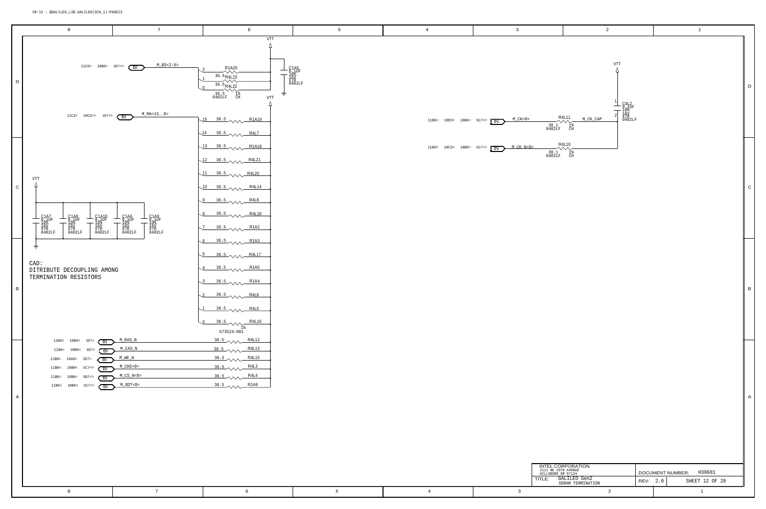2111 NE 25TH AVENUE HILLSBORO OR 97124 TITLE:

| INTEL CORPORATION<br>2111 NE 25TH AVENUE<br>HILLSBORO OR 97124 | H38681<br>DOCUMENT NUMBER: |  |                |  |
|----------------------------------------------------------------|----------------------------|--|----------------|--|
| GALILEO Gen2<br>TI F <sup>.</sup><br>SDRAM TERMINATION         | REV: 2.0                   |  | SHEET 12 OF 28 |  |
|                                                                |                            |  |                |  |

D

<span id="page-11-2"></span><span id="page-11-1"></span>

A

<span id="page-11-0"></span>

<span id="page-11-4"></span><span id="page-11-3"></span>

C

B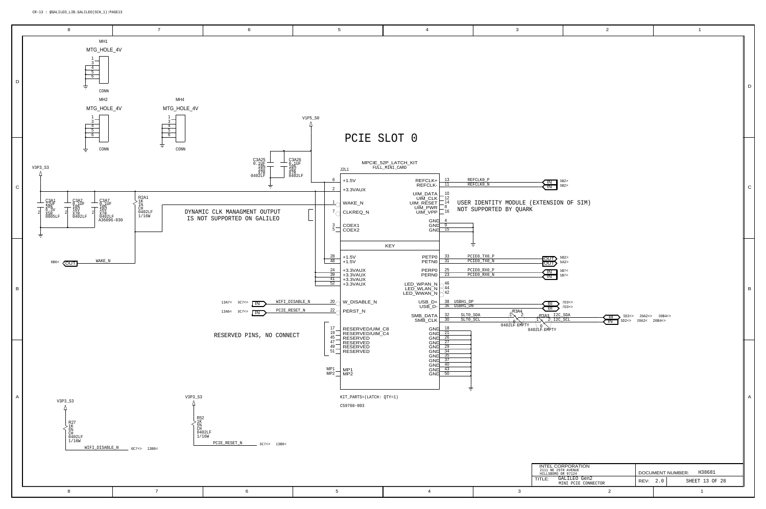<span id="page-12-3"></span><span id="page-12-1"></span><span id="page-12-0"></span>

|                                                                                | $\mathbf 2$                                                     |                                                                                    |      |           |                         | $\mathbf{1}$   |              |
|--------------------------------------------------------------------------------|-----------------------------------------------------------------|------------------------------------------------------------------------------------|------|-----------|-------------------------|----------------|--------------|
|                                                                                |                                                                 |                                                                                    |      |           |                         |                | D            |
| IN<br>™                                                                        | 6B2><br>6B2><br>TENSION OF SIM)                                 |                                                                                    |      |           |                         |                | $\mathsf C$  |
| <u>OUT</u><br>ण्ण<br>ΙN<br>ℼ<br>ы<br>ΒГ<br>$\mathbf{0}$<br><del>ř em</del> pty | 5B2><br>5A2<br>$5B7<$<br>5B7<<br>$7D3$ <><br>$\sum_{7D3\leq 5}$ | 6D2<> 20A2<> 20B4<><br>BI<br>$6D2 \leftarrow 20A2 \leftarrow 20B4 \leftarrow$<br>™ |      |           |                         |                | $\, {\bf B}$ |
|                                                                                |                                                                 |                                                                                    |      |           |                         |                | Α            |
|                                                                                | INTEL CORPORATION                                               |                                                                                    |      |           |                         |                |              |
| 2111 NE 25TH AVENUE<br>HILLSBORO OR 97124<br>TLE:                              | GALILEO Gen2<br>MINI PCIE CONNECTOR                             |                                                                                    | REV: | $2\,.\,0$ | DOCUMENT NUMBER: H38681 | SHEET 13 OF 28 |              |
|                                                                                |                                                                 | $\mathbf 2$                                                                        |      |           |                         | $\mathbf{1}$   |              |
|                                                                                |                                                                 |                                                                                    |      |           |                         |                |              |

<span id="page-12-6"></span><span id="page-12-5"></span><span id="page-12-4"></span><span id="page-12-2"></span>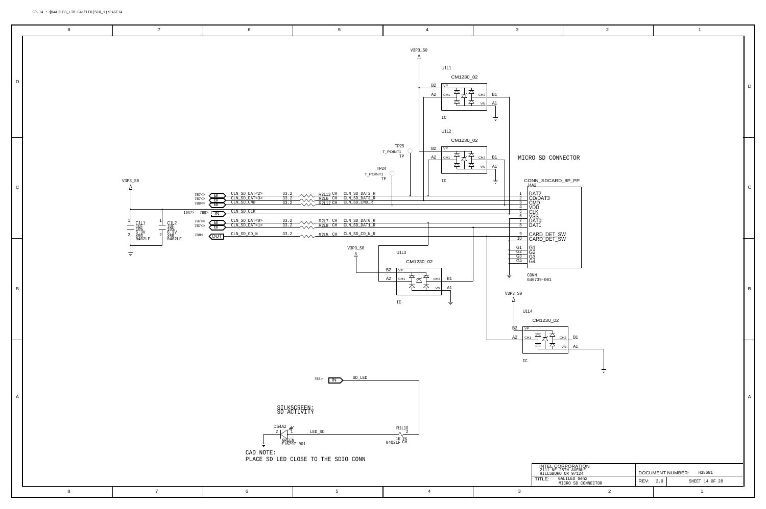## <span id="page-13-1"></span>CR-14 : @GALILEO\_LIB.GALILEO(SCH\_1):PAGE14

|                                                                              | $\mathbf 2$                                                                    |      |     | $\mathbf 1$                    |             |
|------------------------------------------------------------------------------|--------------------------------------------------------------------------------|------|-----|--------------------------------|-------------|
|                                                                              |                                                                                |      |     |                                | D           |
| SD CONNECTOR<br>_SDCARD_8P_PP<br>2<br>pAT3<br>0<br>1<br>D_DET_SW<br>D_DET_SW |                                                                                |      |     |                                | $\mathsf C$ |
| $9 - 001$<br>1230_02<br>2                                                    |                                                                                |      |     |                                | B           |
| CH2<br>╮                                                                     | B <sub>1</sub><br>A1<br>V <sub>N</sub>                                         |      |     |                                | A           |
| TLE:                                                                         | INTEL CORPORATION<br>2111 NE 25TH AVENUE<br>HILLSBORO OR 97124<br>GALILEO Gen2 |      |     | DOCUMENT NUMBER:<br>H38681     |             |
|                                                                              | MICRO SD CONNECTOR<br>$\overline{\mathbf{c}}$                                  | REV: | 2.0 | SHEET 14 OF 28<br>$\mathbf{1}$ |             |
|                                                                              |                                                                                |      |     |                                |             |

<span id="page-13-0"></span>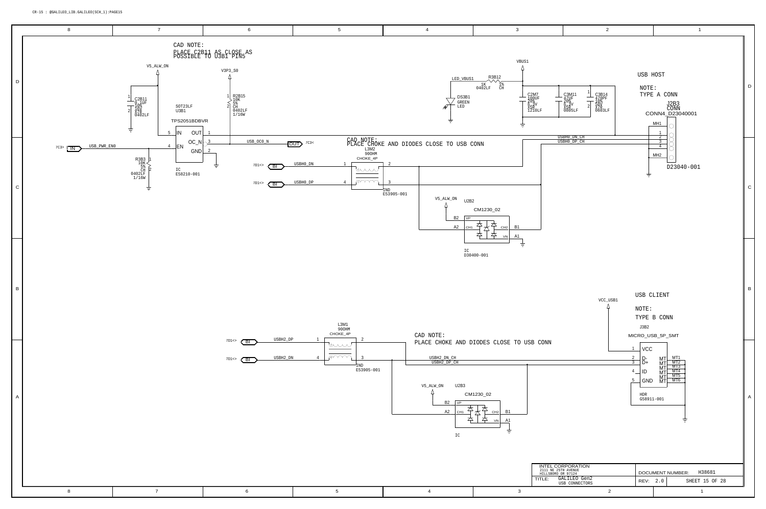<span id="page-14-4"></span><span id="page-14-3"></span><span id="page-14-2"></span><span id="page-14-0"></span>

<span id="page-14-1"></span>

| $\bigcap \mathcal{R}$<br>TITLE<br>⊥⊥ىلAن<br>$---$ |  |  |  |
|---------------------------------------------------|--|--|--|
|                                                   |  |  |  |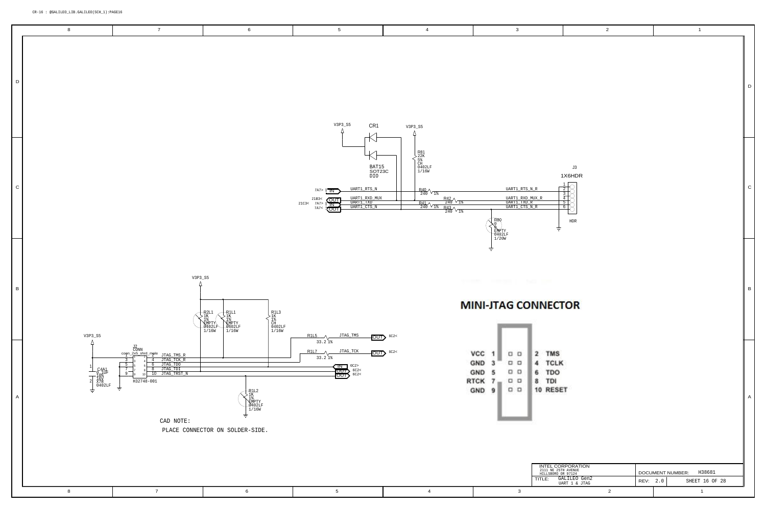## <span id="page-15-3"></span><span id="page-15-2"></span>CR-16 : @GALILEO\_LIB.GALILEO(SCH\_1):PAGE16

<span id="page-15-1"></span><span id="page-15-0"></span>

|           | $\overline{7}$<br>$\,$ 8 $\,$                                                                                                                                                                                                                                                                                                                                                                                                                                                       | $\,6\,$                                                                                                         | $5\phantom{.0}$                                                                                                                                                                                                                                      | $\overline{4}$                                                                                                                                                                                                                                                                                                                                                                                                                                                                                                                                                  | $\mathbf{3}$                                                                                                                                                                                                                                | $\overline{2}$                                                                                                                                                                                    | $\overline{1}$                                                             |                |
|-----------|-------------------------------------------------------------------------------------------------------------------------------------------------------------------------------------------------------------------------------------------------------------------------------------------------------------------------------------------------------------------------------------------------------------------------------------------------------------------------------------|-----------------------------------------------------------------------------------------------------------------|------------------------------------------------------------------------------------------------------------------------------------------------------------------------------------------------------------------------------------------------------|-----------------------------------------------------------------------------------------------------------------------------------------------------------------------------------------------------------------------------------------------------------------------------------------------------------------------------------------------------------------------------------------------------------------------------------------------------------------------------------------------------------------------------------------------------------------|---------------------------------------------------------------------------------------------------------------------------------------------------------------------------------------------------------------------------------------------|---------------------------------------------------------------------------------------------------------------------------------------------------------------------------------------------------|----------------------------------------------------------------------------|----------------|
| D         |                                                                                                                                                                                                                                                                                                                                                                                                                                                                                     |                                                                                                                 | V3P3_S5<br>CR <sub>1</sub>                                                                                                                                                                                                                           | V3P3_S5                                                                                                                                                                                                                                                                                                                                                                                                                                                                                                                                                         |                                                                                                                                                                                                                                             |                                                                                                                                                                                                   |                                                                            | D              |
| ${\bf C}$ |                                                                                                                                                                                                                                                                                                                                                                                                                                                                                     |                                                                                                                 | $\overline{\phantom{0}}$<br>BAT15<br>SOT23C<br>DI0<br>$\texttt{UART1\_RTS\_N}$<br>$\frac{7A}{7}$ $\sqrt{N}$<br>UART1_RXD_MUX<br>UART1_TXD<br>UART1_CTS_N<br>21C3< $\begin{array}{c} \n 21B3 < \\  \hline\n 7A7 > \\  7A7 < \\  \hline\n \end{array}$ | $\begin{array}{c} \begin{array}{c} \text{R81} \\ 22 \text{K} \\ 5\frac{9}{8} \\ \text{CH} \\ 0402 \text{LF} \\ 1/16 \text{W} \end{array} \end{array}$<br>$R_{240}$ $\sqrt{1}$<br>$\begin{array}{r} \text{R42}\, \textcolor{red}{\bigvee_{18}} \\ \text{R44}\, \textcolor{red}{\bigvee_{240}} \, \textcolor{red}{\bigvee_{18}} \\ \textcolor{red}{\,\, 240} \, \textcolor{red}{\bigvee_{18}} \, \textcolor{red}{\,\, 843} \, \textcolor{red}{\bigvee_{18}} \\ \textcolor{red}{\,\, 240} \, \textcolor{red}{\bigvee_{18}} \, \textcolor{red}{\,\, 8} \end{array}$ | UART1_RTS_N_R<br>UART1_RXD_MUX_R<br>UART1_TXD_R<br>UART1_CTS_N_R<br>EMPTY<br>0402LF<br>  1/20W                                                                                                                                              | $\sf J3$<br>1X6HDR<br>$\frac{2}{\sqrt{2}}$<br>$\begin{array}{c}\n3 \\ \hline\n4 \\ \hline\n5 \\ \hline\n6\n\end{array}$<br>${\tt HDR}$                                                            |                                                                            | ${\rm C}$      |
| В         | $\mathtt{V3P3\_S5}$                                                                                                                                                                                                                                                                                                                                                                                                                                                                 | $-R2L1$<br>$-R1L1$<br><b>`EMPT</b><br><b>EMPTY</b><br>2402LF<br>1/16W<br>1/16W                                  |                                                                                                                                                                                                                                                      |                                                                                                                                                                                                                                                                                                                                                                                                                                                                                                                                                                 | ---<br>a sa san<br><b>MINI-JTAG CONNECTOR</b>                                                                                                                                                                                               |                                                                                                                                                                                                   |                                                                            | $\overline{B}$ |
| A         | $V3P3_S5$<br>$\begin{array}{r l} \hline & \frac{12}{20 \text{NN}} & \\ \hline & \text{conp} & \frac{1}{2} \text{ and } \\ \hline & 1 & 2 & 4 \\ \hline & 3 & 3 & 4 \\ \hline & 2 & 4 & \text{JTAG\_TNK} \\ \hline & 3 & 4 & 4 \\ \hline & 6 & \text{JTAG\_TDD} \\ \hline & 7 & \text{JTAG\_TDD} \\ \hline \end{array}$<br>- <b>C4A1</b><br>- 0, 1UF<br>- 10%<br>16V<br>X7R<br>0402LF<br>$\frac{7}{9}$<br>ᅩ<br>10 JTAG_TRST_N<br>$\overline{a}$<br>H32748-001<br>ŧ<br>士<br>CAD NOTE: | R1L2<br>$\frac{18}{18}$<br>$\frac{18}{29402LF}$<br>$-0402LF$<br>$1/16W$<br>士<br>PLACE CONNECTOR ON SOLDER-SIDE. | $R1L5$ $\sqrt{3.74G$ TMS<br>33.21%<br>$R1L7 \tImes$ JTAG_TCK<br>33.21%<br>$\frac{100}{1001}$ $^{6C2>}_{6C2<}$                                                                                                                                        | $\sim 602$<br>$-$ OUT $\triangleright$ 6C2<                                                                                                                                                                                                                                                                                                                                                                                                                                                                                                                     | VCC 1<br>2 TMS<br>$\Box$ $\Box$<br>GND<br>$\Box\quad \Box$<br>4 TCLK<br>-3<br>$\Box$ $\Box$<br>GND<br>6 TDO<br><b>RTCK</b><br>$\Box$ $\Box$<br>8 TDI<br>$7 -$<br>10 RESET<br>GND<br>$\begin{array}{ccc} \square & \square \end{array}$<br>9 |                                                                                                                                                                                                   |                                                                            | $\mathsf{A}$   |
|           | $\bf 8$<br>$\overline{7}$                                                                                                                                                                                                                                                                                                                                                                                                                                                           | $6\phantom{.0}$                                                                                                 | $5\overline{)}$                                                                                                                                                                                                                                      | $\overline{4}$                                                                                                                                                                                                                                                                                                                                                                                                                                                                                                                                                  | TITLE:<br>$\mathbf{3}$                                                                                                                                                                                                                      | $\begin{array}{ll} \textbf{INTER CORPORTION} \\ \textbf{2111 NE} & \textbf{25TH AVENUE} \\ \textbf{HILLSBORO OR} & \textbf{97124} \end{array}$<br>GALILEO Gen2<br>UART 1 & JTAG<br>$\overline{2}$ | H38681<br>DOCUMENT NUMBER:<br>SHEET 16 OF 28<br>REV: 2.0<br>$\overline{1}$ |                |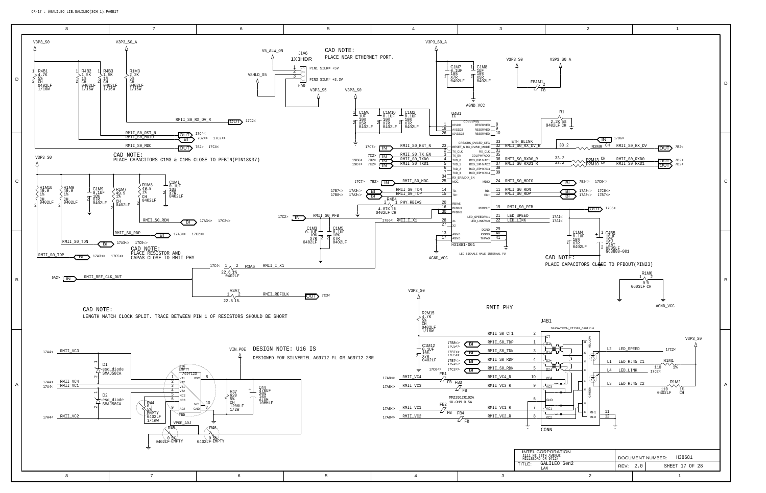

<span id="page-16-14"></span><span id="page-16-13"></span><span id="page-16-12"></span><span id="page-16-11"></span><span id="page-16-10"></span><span id="page-16-9"></span><span id="page-16-8"></span><span id="page-16-7"></span><span id="page-16-6"></span><span id="page-16-5"></span><span id="page-16-4"></span><span id="page-16-3"></span><span id="page-16-2"></span><span id="page-16-1"></span><span id="page-16-0"></span>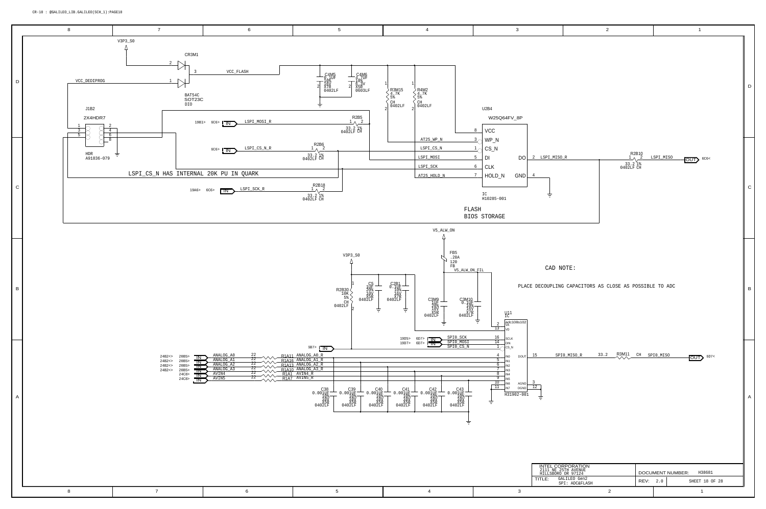<span id="page-17-5"></span><span id="page-17-4"></span><span id="page-17-3"></span><span id="page-17-0"></span>

|                                       |                                      |                                                                                                                                                                              | $\boldsymbol{2}$          |                        |                         | $\mathbf{1}$            |                          |   |
|---------------------------------------|--------------------------------------|------------------------------------------------------------------------------------------------------------------------------------------------------------------------------|---------------------------|------------------------|-------------------------|-------------------------|--------------------------|---|
| βP                                    |                                      |                                                                                                                                                                              |                           |                        |                         |                         |                          | D |
| DO<br>ND                              | 2 LSPI_MISO_R<br>$\overline{4}$<br>π |                                                                                                                                                                              | 1<br>33.2 1%<br>0402LF CH | $R^{2B10}_{\lambda}$   | LSPI_MISO               | OUT                     | 6C6<                     | C |
| s102                                  | CAD NOTE:                            | PLACE DECOUPLING CAPACITORS AS CLOSE AS POSSIBLE TO ADC                                                                                                                      |                           |                        |                         |                         |                          | В |
| DOUT<br>AGND<br><b>DGND</b><br>$-001$ | 15<br>$\frac{3}{12}$                 | SPI0_MISO_R                                                                                                                                                                  | R3M11<br>33.2             | $\mathbb{C}\mathbb{H}$ | SPIO_MISO               | $\overline{\text{OUT}}$ | 6D7<                     | Α |
|                                       | TITLE:                               | $\begin{array}{ll} \textbf{INTEL CORPORTION} \\ \textbf{2111 NE} \textbf{25TH AVENUE} \\ \textbf{HILLSBORO OR} \textbf{97124} \end{array}$<br>GALILEO Gen2<br>SPI: ADC&FLASH |                           | REV:                   | DOCUMENT NUMBER:<br>2.0 |                         | H38681<br>SHEET 18 OF 28 |   |
| 3                                     |                                      |                                                                                                                                                                              | $\sqrt{2}$                |                        |                         | $\mathbf 1$             |                          |   |
|                                       |                                      |                                                                                                                                                                              |                           |                        |                         |                         |                          |   |

<span id="page-17-7"></span><span id="page-17-6"></span><span id="page-17-2"></span><span id="page-17-1"></span>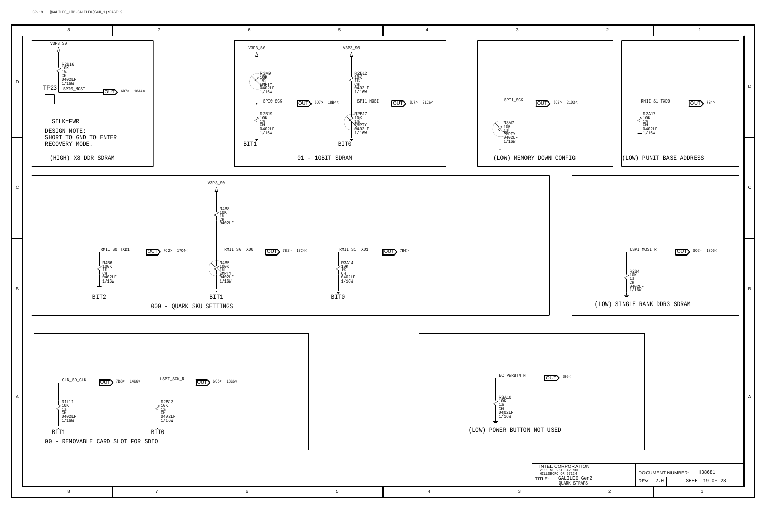<span id="page-18-11"></span><span id="page-18-10"></span><span id="page-18-9"></span><span id="page-18-8"></span><span id="page-18-7"></span><span id="page-18-6"></span><span id="page-18-5"></span><span id="page-18-4"></span><span id="page-18-3"></span><span id="page-18-2"></span><span id="page-18-1"></span><span id="page-18-0"></span>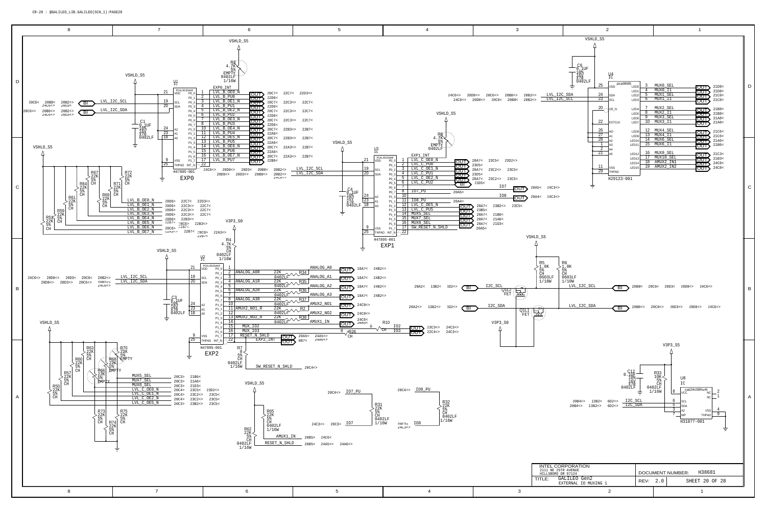<span id="page-19-16"></span><span id="page-19-15"></span><span id="page-19-14"></span><span id="page-19-13"></span><span id="page-19-12"></span><span id="page-19-11"></span><span id="page-19-10"></span><span id="page-19-9"></span><span id="page-19-8"></span><span id="page-19-7"></span><span id="page-19-6"></span><span id="page-19-5"></span><span id="page-19-4"></span><span id="page-19-3"></span><span id="page-19-2"></span><span id="page-19-1"></span><span id="page-19-0"></span>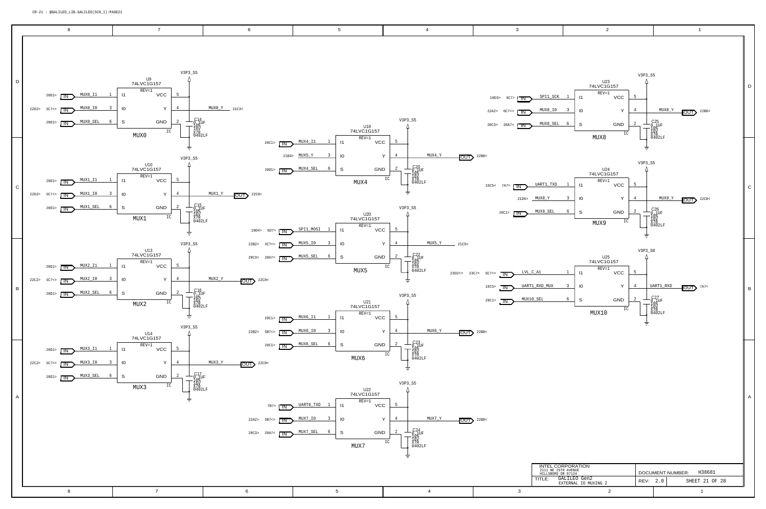<span id="page-20-16"></span><span id="page-20-15"></span><span id="page-20-14"></span><span id="page-20-13"></span><span id="page-20-12"></span><span id="page-20-11"></span><span id="page-20-10"></span><span id="page-20-9"></span><span id="page-20-8"></span><span id="page-20-7"></span><span id="page-20-6"></span><span id="page-20-5"></span><span id="page-20-4"></span><span id="page-20-3"></span><span id="page-20-2"></span><span id="page-20-1"></span><span id="page-20-0"></span>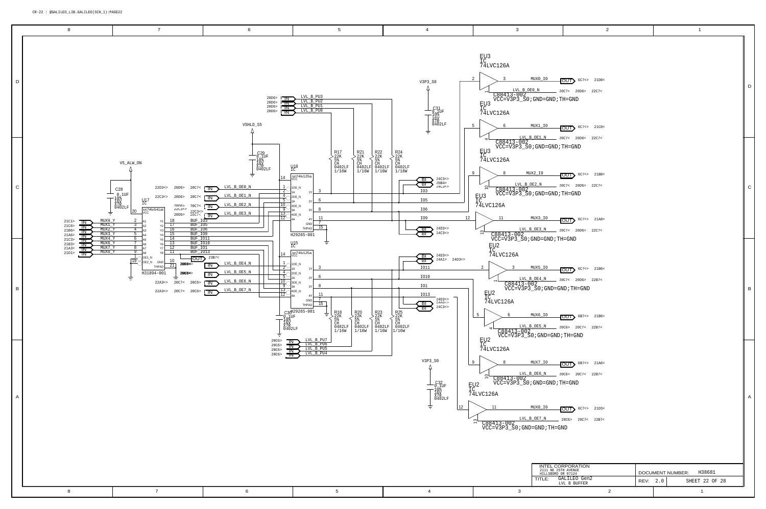<span id="page-21-13"></span><span id="page-21-9"></span>

 $\overline{\text{OUT}}$  [6C7<>](#page-5-1) 21D3< [20C6>](#page-19-9) [20C7<](#page-19-6) [22B7<](#page-21-6) 

<span id="page-21-16"></span><span id="page-21-8"></span><span id="page-21-2"></span> $\overline{\text{OUT}}$   $6$ C7<> 21A8< [20C7<](#page-19-6) [20D6>](#page-19-12) [22C7<](#page-21-11) 

<span id="page-21-5"></span> $\overline{\text{OUT}}$  [6C7<>](#page-5-1) 21B6<  $20C7 < 20D6 > 22B7 <$ 

<span id="page-21-3"></span> $\overline{\text{OUT}}$  6B7<>21B6<

 $20C6 > 20C7 < 22B7 <$ 

<span id="page-21-10"></span><span id="page-21-0"></span> $\overline{\text{OUT}}\}$  6C7<>21C8< [20C7<](#page-19-6) [20D6>](#page-19-12) [22C7<](#page-21-11) 

 $\overline{\text{OUT}}$   $6$ C7<> 21B8<  $\_\ 20C7<sub>20D6></sub>$  22C7<

| INTEL CORPORATION<br>2111 NE 25TH AVENUE<br>HILLSBORO OR 97124 |          | H38681<br>DOCUMENT NUMBER: |
|----------------------------------------------------------------|----------|----------------------------|
| GALILEO Gen2<br>TI F <sup>.</sup><br>LVL B BUFFER              | REV: 2.0 | SHEET 22 OF 28             |
|                                                                |          |                            |

[20C7<](#page-19-6) [20D6>](#page-19-12) [22C7<](#page-21-11) 

D

<span id="page-21-15"></span><span id="page-21-14"></span><span id="page-21-11"></span><span id="page-21-7"></span><span id="page-21-6"></span><span id="page-21-4"></span>

<span id="page-21-12"></span><span id="page-21-1"></span>

A

C

B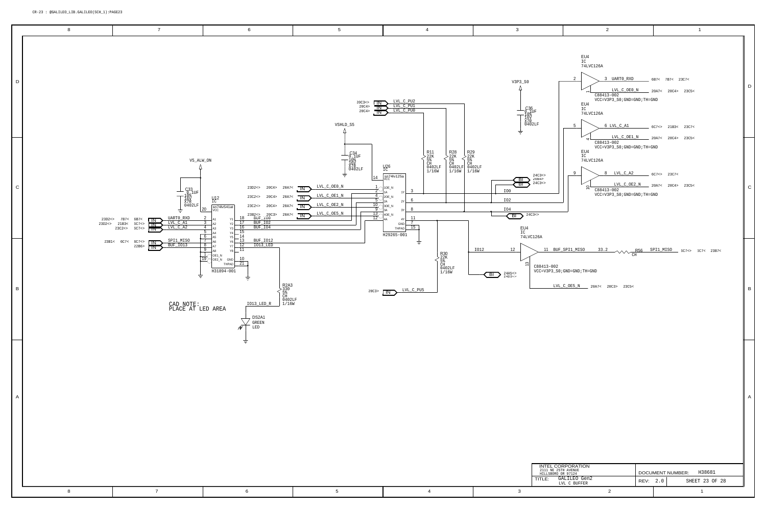

<span id="page-22-3"></span><span id="page-22-1"></span>

<span id="page-22-10"></span><span id="page-22-9"></span><span id="page-22-8"></span><span id="page-22-7"></span><span id="page-22-6"></span><span id="page-22-5"></span><span id="page-22-4"></span><span id="page-22-0"></span>

<span id="page-22-2"></span>

| RPORATION                 |                                   |  |                |  |  |  |
|---------------------------|-----------------------------------|--|----------------|--|--|--|
| H AVENUE<br>R 97124       | H38681<br><b>DOCUMENT NUMBER:</b> |  |                |  |  |  |
| ALILEO Gen2<br>L C BUFFER | REV: 2.0                          |  | SHEET 23 OF 28 |  |  |  |
| ⌒                         |                                   |  |                |  |  |  |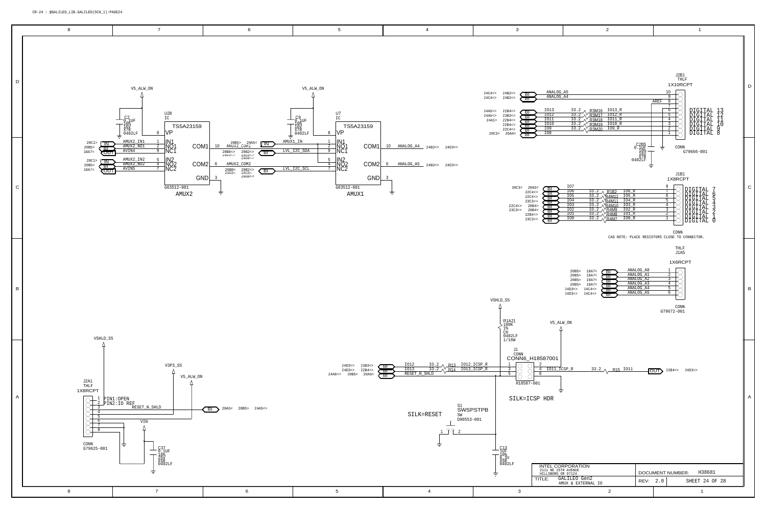<span id="page-23-8"></span><span id="page-23-7"></span><span id="page-23-6"></span><span id="page-23-5"></span><span id="page-23-4"></span><span id="page-23-3"></span><span id="page-23-2"></span><span id="page-23-1"></span>

<span id="page-23-0"></span>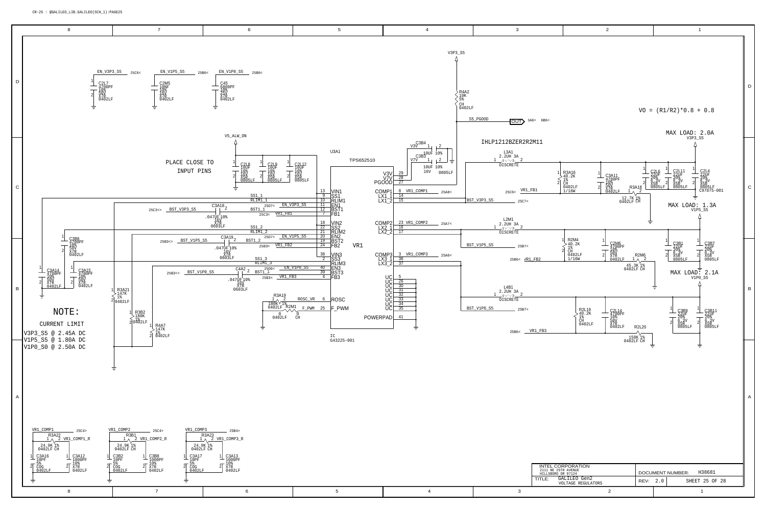<span id="page-24-13"></span><span id="page-24-12"></span><span id="page-24-11"></span><span id="page-24-10"></span><span id="page-24-9"></span><span id="page-24-8"></span><span id="page-24-7"></span><span id="page-24-6"></span><span id="page-24-5"></span><span id="page-24-4"></span><span id="page-24-3"></span><span id="page-24-2"></span><span id="page-24-1"></span><span id="page-24-0"></span>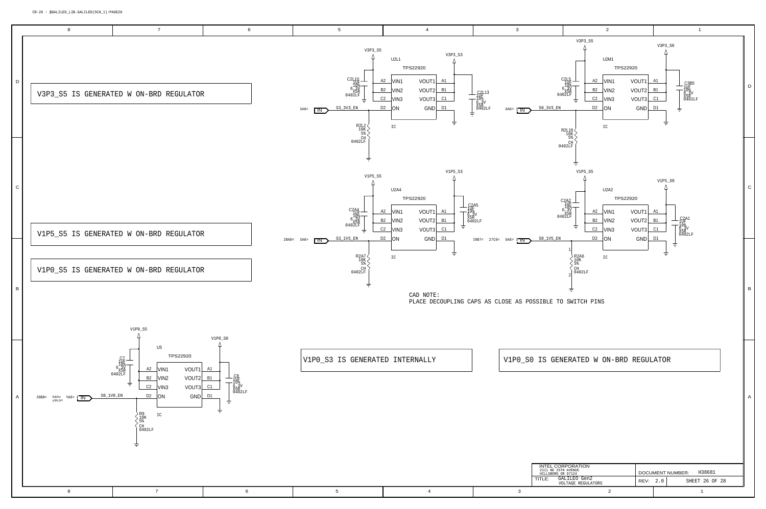<span id="page-25-4"></span><span id="page-25-3"></span><span id="page-25-2"></span><span id="page-25-1"></span><span id="page-25-0"></span>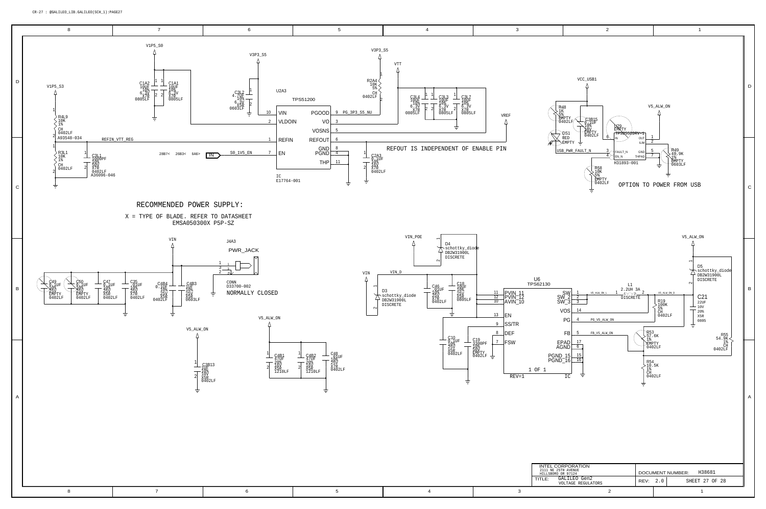<span id="page-26-0"></span>